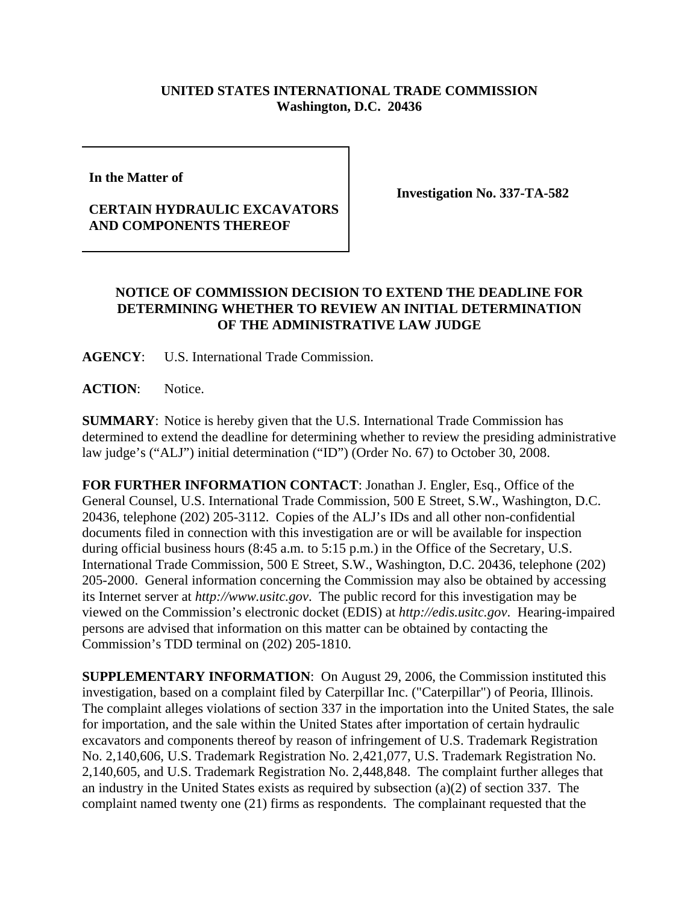## **UNITED STATES INTERNATIONAL TRADE COMMISSION Washington, D.C. 20436**

**In the Matter of** 

## **CERTAIN HYDRAULIC EXCAVATORS AND COMPONENTS THEREOF**

**Investigation No. 337-TA-582**

## **NOTICE OF COMMISSION DECISION TO EXTEND THE DEADLINE FOR DETERMINING WHETHER TO REVIEW AN INITIAL DETERMINATION OF THE ADMINISTRATIVE LAW JUDGE**

**AGENCY**: U.S. International Trade Commission.

**ACTION**: Notice.

**SUMMARY**: Notice is hereby given that the U.S. International Trade Commission has determined to extend the deadline for determining whether to review the presiding administrative law judge's ("ALJ") initial determination ("ID") (Order No. 67) to October 30, 2008.

**FOR FURTHER INFORMATION CONTACT**: Jonathan J. Engler, Esq., Office of the General Counsel, U.S. International Trade Commission, 500 E Street, S.W., Washington, D.C. 20436, telephone (202) 205-3112. Copies of the ALJ's IDs and all other non-confidential documents filed in connection with this investigation are or will be available for inspection during official business hours (8:45 a.m. to 5:15 p.m.) in the Office of the Secretary, U.S. International Trade Commission, 500 E Street, S.W., Washington, D.C. 20436, telephone (202) 205-2000. General information concerning the Commission may also be obtained by accessing its Internet server at *http://www.usitc.gov*. The public record for this investigation may be viewed on the Commission's electronic docket (EDIS) at *http://edis.usitc.gov*. Hearing-impaired persons are advised that information on this matter can be obtained by contacting the Commission's TDD terminal on (202) 205-1810.

**SUPPLEMENTARY INFORMATION**: On August 29, 2006, the Commission instituted this investigation, based on a complaint filed by Caterpillar Inc. ("Caterpillar") of Peoria, Illinois. The complaint alleges violations of section 337 in the importation into the United States, the sale for importation, and the sale within the United States after importation of certain hydraulic excavators and components thereof by reason of infringement of U.S. Trademark Registration No. 2,140,606, U.S. Trademark Registration No. 2,421,077, U.S. Trademark Registration No. 2,140,605, and U.S. Trademark Registration No. 2,448,848. The complaint further alleges that an industry in the United States exists as required by subsection (a)(2) of section 337. The complaint named twenty one (21) firms as respondents. The complainant requested that the